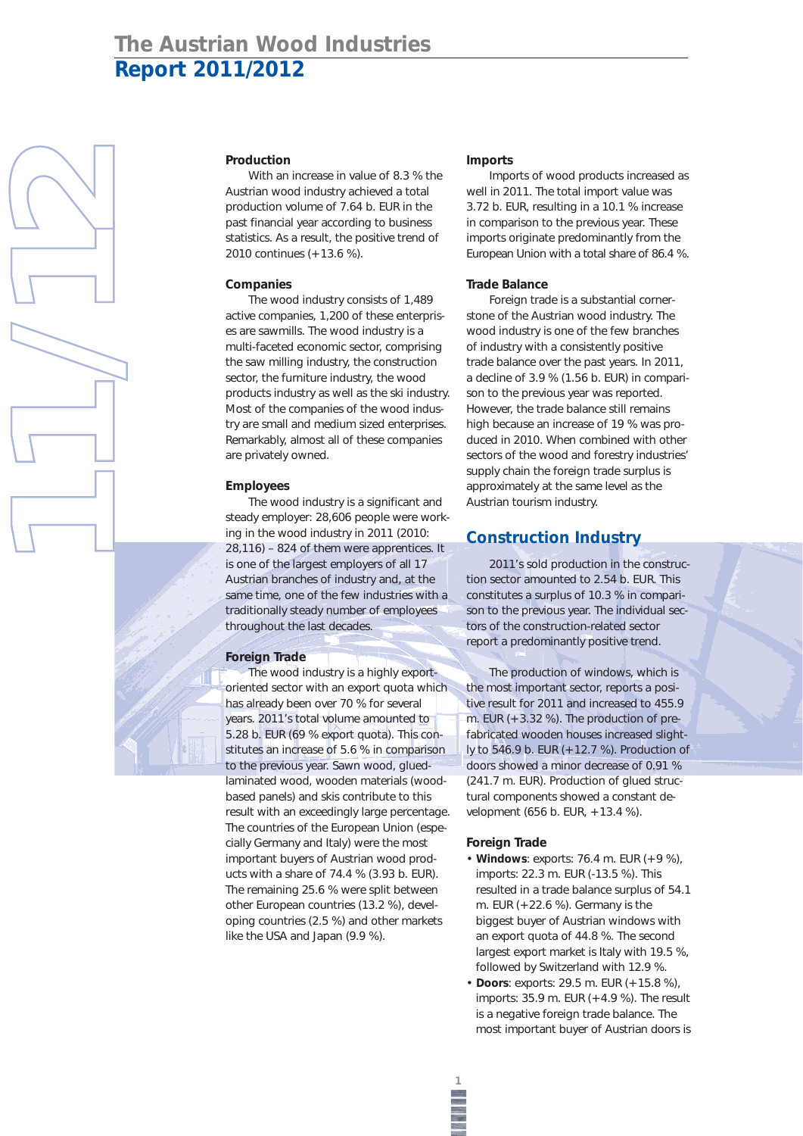# **The Austrian Wood Industries Report 2011/2012**





With an increase in value of 8.3 % the Austrian wood industry achieved a total production volume of 7.64 b. EUR in the past financial year according to business statistics. As a result, the positive trend of 2010 continues (+13.6 %).

### **Companies**

The wood industry consists of 1,489 active companies, 1,200 of these enterprises are sawmills. The wood industry is a multi-faceted economic sector, comprising the saw milling industry, the construction sector, the furniture industry, the wood products industry as well as the ski industry. Most of the companies of the wood industry are small and medium sized enterprises. Remarkably, almost all of these companies are privately owned.

### **Employees**

The wood industry is a significant and steady employer: 28,606 people were working in the wood industry in 2011 (2010: 28,116) – 824 of them were apprentices. It is one of the largest employers of all 17 Austrian branches of industry and, at the same time, one of the few industries with a traditionally steady number of employees throughout the last decades.

#### **Foreign Trade**

The wood industry is a highly exportoriented sector with an export quota which has already been over 70 % for several years. 2011's total volume amounted to 5.28 b. EUR (69 % export quota). This constitutes an increase of 5.6 % in comparison to the previous year. Sawn wood, gluedlaminated wood, wooden materials (woodbased panels) and skis contribute to this result with an exceedingly large percentage. The countries of the European Union (especially Germany and Italy) were the most important buyers of Austrian wood products with a share of 74.4 % (3.93 b. EUR). The remaining 25.6 % were split between other European countries (13.2 %), developing countries (2.5 %) and other markets like the USA and Japan (9.9 %).

#### **Imports**

Imports of wood products increased as well in 2011. The total import value was 3.72 b. EUR, resulting in a 10.1 % increase in comparison to the previous year. These imports originate predominantly from the European Union with a total share of 86.4 %.

#### **Trade Balance**

Foreign trade is a substantial cornerstone of the Austrian wood industry. The wood industry is one of the few branches of industry with a consistently positive trade balance over the past years. In 2011, a decline of 3.9 % (1.56 b. EUR) in comparison to the previous year was reported. However, the trade balance still remains high because an increase of 19 % was produced in 2010. When combined with other sectors of the wood and forestry industries' supply chain the foreign trade surplus is approximately at the same level as the Austrian tourism industry.

# **Construction Industry**

2011's sold production in the construction sector amounted to 2.54 b. EUR. This constitutes a surplus of 10.3 % in comparison to the previous year. The individual sectors of the construction-related sector report a predominantly positive trend.

The production of windows, which is the most important sector, reports a positive result for 2011 and increased to 455.9 m. EUR (+3.32 %). The production of prefabricated wooden houses increased slightly to 546.9 b. EUR (+12.7 %). Production of doors showed a minor decrease of 0.91 % (241.7 m. EUR). Production of glued structural components showed a constant development (656 b. EUR, +13.4 %).

#### **Foreign Trade**

- **Windows**: exports: 76.4 m. EUR (+9 %), imports: 22.3 m. EUR (-13.5 %). This resulted in a trade balance surplus of 54.1 m. EUR  $(+22.6 %)$ . Germany is the biggest buyer of Austrian windows with an export quota of 44.8 %. The second largest export market is Italy with 19.5 %, followed by Switzerland with 12.9 %.
- **Doors**: exports: 29.5 m. EUR (+15.8 %), imports: 35.9 m. EUR (+4.9 %). The result is a negative foreign trade balance. The most important buyer of Austrian doors is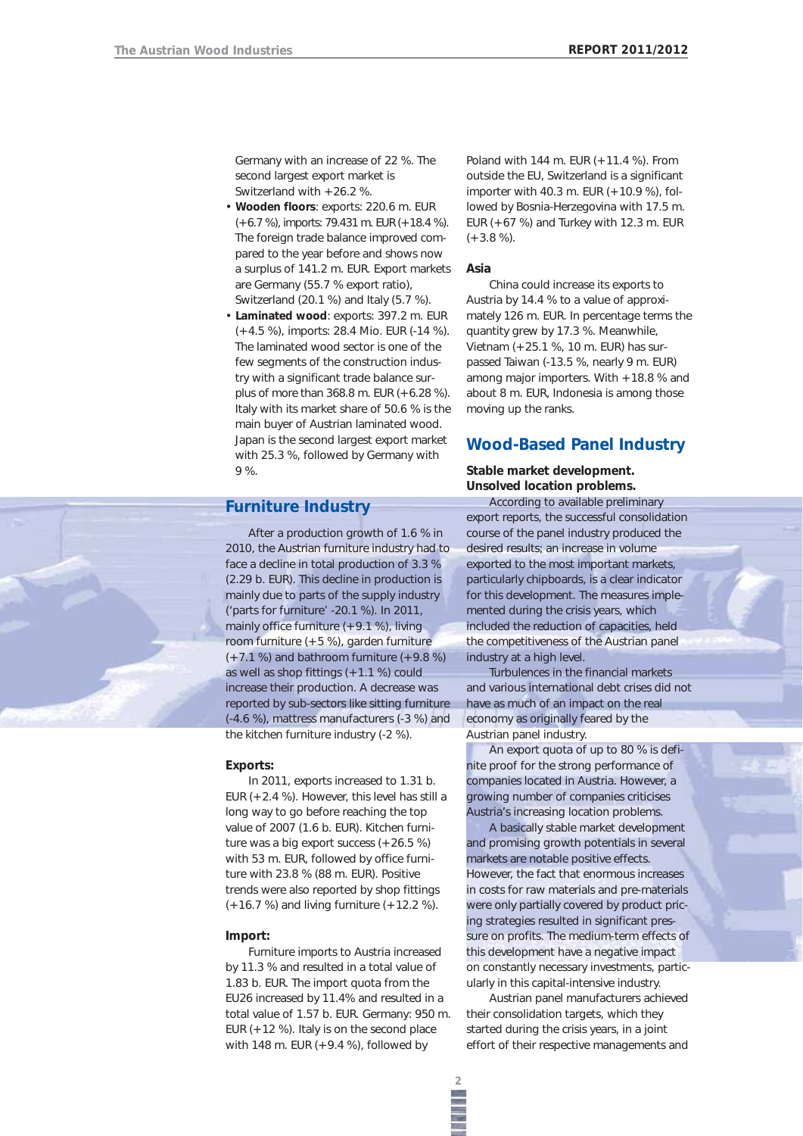Germany with an increase of 22 %. The second largest export market is Switzerland with +26.2 %.

- **Wooden floors**: exports: 220.6 m. EUR (+6.7 %), imports: 79.431 m. EUR (+18.4 %). The foreign trade balance improved compared to the year before and shows now a surplus of 141.2 m. EUR. Export markets are Germany (55.7 % export ratio), Switzerland (20.1 %) and Italy (5.7 %).
- **Laminated wood**: exports: 397.2 m. EUR (+4.5 %), imports: 28.4 Mio. EUR (-14 %). The laminated wood sector is one of the few segments of the construction industry with a significant trade balance surplus of more than 368.8 m. EUR (+6.28 %). Italy with its market share of 50.6 % is the main buyer of Austrian laminated wood. Japan is the second largest export market with 25.3 %, followed by Germany with 9 %.

# **Furniture Industry**

After a production growth of 1.6 % in 2010, the Austrian furniture industry had to face a decline in total production of 3.3 % (2.29 b. EUR). This decline in production is mainly due to parts of the supply industry ('parts for furniture' -20.1 %). In 2011, mainly office furniture (+9.1 %), living room furniture (+5 %), garden furniture  $(+7.1 \%)$  and bathroom furniture  $(+9.8 \%)$ as well as shop fittings  $(+1.1\%)$  could increase their production. A decrease was reported by sub-sectors like sitting furniture (-4.6 %), mattress manufacturers (-3 %) and the kitchen furniture industry (-2 %).

#### **Exports:**

In 2011, exports increased to 1.31 b. EUR (+2.4 %). However, this level has still a long way to go before reaching the top value of 2007 (1.6 b. EUR). Kitchen furniture was a big export success (+26.5 %) with 53 m. EUR, followed by office furniture with 23.8 % (88 m. EUR). Positive trends were also reported by shop fittings (+16.7 %) and living furniture (+12.2 %).

#### **Import:**

Furniture imports to Austria increased by 11.3 % and resulted in a total value of 1.83 b. EUR. The import quota from the EU26 increased by 11.4% and resulted in a total value of 1.57 b. EUR. Germany: 950 m. EUR  $(+12 \%)$ . Italy is on the second place with 148 m. EUR  $(+9.4\%)$ , followed by

Poland with 144 m. EUR (+11.4 %). From outside the EU, Switzerland is a significant importer with 40.3 m. EUR (+10.9 %), followed by Bosnia-Herzegovina with 17.5 m. EUR  $(+67%)$  and Turkey with 12.3 m. EUR  $(+3.8\%)$ .

#### **Asia**

China could increase its exports to Austria by 14.4 % to a value of approximately 126 m. EUR. In percentage terms the quantity grew by 17.3 %. Meanwhile, Vietnam (+25.1 %, 10 m. EUR) has surpassed Taiwan (-13.5 %, nearly 9 m. EUR) among major importers. With +18.8 % and about 8 m. EUR, Indonesia is among those moving up the ranks.

# **Wood-Based Panel Industry**

**Stable market development. Unsolved location problems.**

According to available preliminary export reports, the successful consolidation course of the panel industry produced the desired results; an increase in volume exported to the most important markets, particularly chipboards, is a clear indicator for this development. The measures implemented during the crisis years, which included the reduction of capacities, held the competitiveness of the Austrian panel industry at a high level.

Turbulences in the financial markets and various international debt crises did not have as much of an impact on the real economy as originally feared by the Austrian panel industry.

An export quota of up to 80 % is definite proof for the strong performance of companies located in Austria. However, a growing number of companies criticises Austria's increasing location problems.

A basically stable market development and promising growth potentials in several markets are notable positive effects. However, the fact that enormous increases in costs for raw materials and pre-materials were only partially covered by product pricing strategies resulted in significant pressure on profits. The medium-term effects of this development have a negative impact on constantly necessary investments, particularly in this capital-intensive industry.

Austrian panel manufacturers achieved their consolidation targets, which they started during the crisis years, in a joint effort of their respective managements and

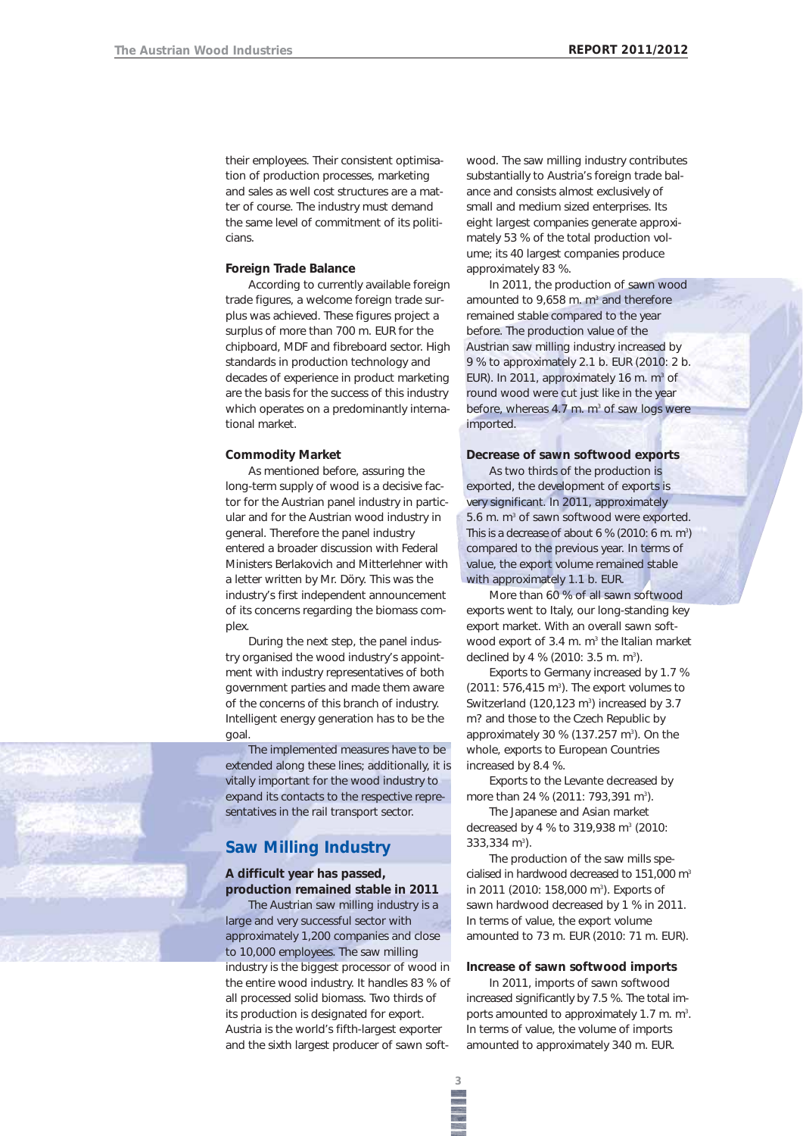their employees. Their consistent optimisation of production processes, marketing and sales as well cost structures are a matter of course. The industry must demand the same level of commitment of its politicians.

### **Foreign Trade Balance**

According to currently available foreign trade figures, a welcome foreign trade surplus was achieved. These figures project a surplus of more than 700 m. EUR for the chipboard, MDF and fibreboard sector. High standards in production technology and decades of experience in product marketing are the basis for the success of this industry which operates on a predominantly international market.

#### **Commodity Market**

As mentioned before, assuring the long-term supply of wood is a decisive factor for the Austrian panel industry in particular and for the Austrian wood industry in general. Therefore the panel industry entered a broader discussion with Federal Ministers Berlakovich and Mitterlehner with a letter written by Mr. Döry. This was the industry's first independent announcement of its concerns regarding the biomass complex.

During the next step, the panel industry organised the wood industry's appointment with industry representatives of both government parties and made them aware of the concerns of this branch of industry. Intelligent energy generation has to be the goal.

The implemented measures have to be extended along these lines; additionally, it is vitally important for the wood industry to expand its contacts to the respective representatives in the rail transport sector.

# **Saw Milling Industry**

**A difficult year has passed, production remained stable in 2011**

The Austrian saw milling industry is a large and very successful sector with approximately 1,200 companies and close to 10,000 employees. The saw milling industry is the biggest processor of wood in the entire wood industry. It handles 83 % of all processed solid biomass. Two thirds of its production is designated for export. Austria is the world's fifth-largest exporter and the sixth largest producer of sawn softwood. The saw milling industry contributes substantially to Austria's foreign trade balance and consists almost exclusively of small and medium sized enterprises. Its eight largest companies generate approximately 53 % of the total production volume; its 40 largest companies produce approximately 83 %.

In 2011, the production of sawn wood amounted to 9,658 m.  $m^3$  and therefore remained stable compared to the year before. The production value of the Austrian saw milling industry increased by 9 % to approximately 2.1 b. EUR (2010: 2 b. EUR). In 2011, approximately 16 m.  $m^3$  of round wood were cut just like in the year before, whereas  $4.7$  m.  $m<sup>3</sup>$  of saw logs were imported.

## **Decrease of sawn softwood exports**

As two thirds of the production is exported, the development of exports is very significant. In 2011, approximately 5.6 m. m<sup>3</sup> of sawn softwood were exported. This is a decrease of about 6 % (2010: 6 m. m<sup>3</sup>) compared to the previous year. In terms of value, the export volume remained stable with approximately 1.1 b. EUR.

More than 60 % of all sawn softwood exports went to Italy, our long-standing key export market. With an overall sawn softwood export of 3.4 m.  $m<sup>3</sup>$  the Italian market declined by 4 % (2010:  $3.5$  m. m<sup>3</sup>).

Exports to Germany increased by 1.7 %  $(2011: 576, 415 \text{ m}^3)$ . The export volumes to Switzerland (120,123 $m^3$ ) increased by 3.7 m? and those to the Czech Republic by approximately 30 %  $(137.257 \text{ m}^3)$ . On the whole, exports to European Countries increased by 8.4 %.

Exports to the Levante decreased by more than 24 % (2011: 793,391 m<sup>3</sup>).

The Japanese and Asian market decreased by 4 % to 319,938 m<sup>3</sup> (2010: 333,334 m<sup>3</sup>).

The production of the saw mills specialised in hardwood decreased to 151,000 m<sup>3</sup> in 2011 (2010: 158,000 m<sup>3</sup>). Exports of sawn hardwood decreased by 1 % in 2011. In terms of value, the export volume amounted to 73 m. EUR (2010: 71 m. EUR).

#### **Increase of sawn softwood imports**

In 2011, imports of sawn softwood increased significantly by 7.5 %. The total imports amounted to approximately 1.7 m.  $m^3$ . In terms of value, the volume of imports amounted to approximately 340 m. EUR.